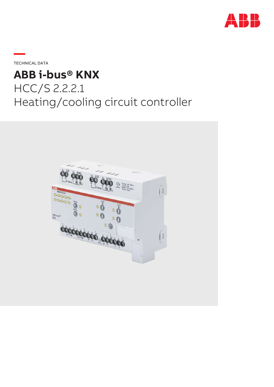

**—**TECHNICAL DATA

# **ABB i-bus® KNX** HCC/S 2.2.2.1 Heating/cooling circuit controller

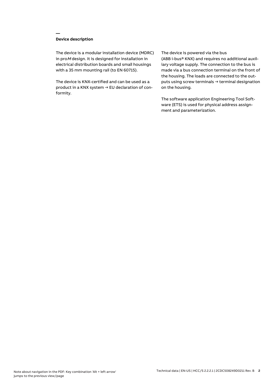# **Device description**

**—**

The device is a modular installation device (MDRC) in proM design. It is designed for installation in electrical distribution boards and small housings with a 35 mm mounting rail (to EN 60715).

The device is KNX-certified and can be used as a product in a KNX system → EU declaration of conformity.

### The device is powered via the bus

(ABB i-bus® KNX) and requires no additional auxiliary voltage supply. The connection to the bus is made via a bus connection terminal on the front of the housing. The loads are connected to the outputs using screw terminals → terminal designation on the housing.

The software application Engineering Tool Software (ETS) is used for physical address assignment and parameterization.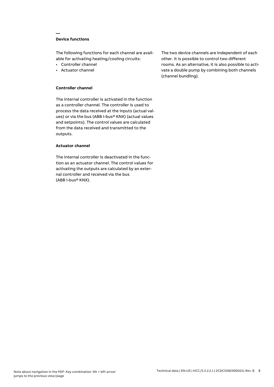# **Device functions**

**—**

The following functions for each channel are available for activating heating/cooling circuits:

- Controller channel
- Actuator channel

## **Controller channel**

The internal controller is activated in the function as a controller channel. The controller is used to process the data received at the inputs (actual values) or via the bus (ABB i-bus® KNX) (actual values and setpoints). The control values are calculated from the data received and transmitted to the outputs.

## **Actuator channel**

The internal controller is deactivated in the function as an actuator channel. The control values for activating the outputs are calculated by an external controller and received via the bus (ABB i-bus® KNX).

The two device channels are independent of each other. It is possible to control two different rooms. As an alternative, it is also possible to activate a double pump by combining both channels (channel bundling).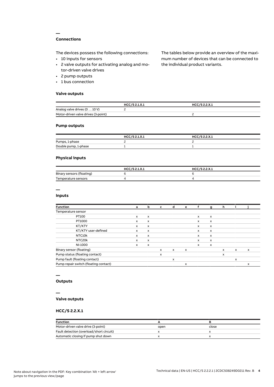# **Connections**

**—**

The devices possess the following connections:

- 10 inputs for sensors
- 2 valve outputs for activating analog and motor-driven valve drives
- 2 pump outputs
- 1 bus connection

### **Valve outputs**

The tables below provide an overview of the maximum number of devices that can be connected to the individual product variants.

|                                     | HCC/S 2.1.X.1 | HCC/S 2.2.X.1 |  |
|-------------------------------------|---------------|---------------|--|
| Analog valve drives (0  10 V)       |               |               |  |
| Motor-driven valve drives (3-point) |               |               |  |

## **Pump outputs**

|                      | HCC/S 2.1.X.1 | HCC/S 2.2.X.1 |
|----------------------|---------------|---------------|
| Pumps, 1-phase       |               |               |
| Double pump, 1-phase |               |               |

## **Physical inputs**

|                           | HCC/S 2.1.X.1 | HCC/S 2.2.X.1 |
|---------------------------|---------------|---------------|
| Binary sensors (floating) |               |               |
| Temperature sensors       |               |               |

# **—**

## **Inputs**

| <b>Function</b>                       | a            | b                         | c            | d            | е                         |              | g                         | h            |              |   |
|---------------------------------------|--------------|---------------------------|--------------|--------------|---------------------------|--------------|---------------------------|--------------|--------------|---|
| Temperature sensor                    |              |                           |              |              |                           |              |                           |              |              |   |
| PT100                                 | $\mathsf{x}$ | $\mathsf{x}$              |              |              |                           | $\mathsf{x}$ | $\boldsymbol{\mathsf{x}}$ |              |              |   |
| PT1000                                | $\mathsf{x}$ | $\mathsf{x}$              |              |              |                           | $\mathsf{x}$ | $\mathsf{x}$              |              |              |   |
| KT/KTY                                | x            | x                         |              |              |                           | x            | $\boldsymbol{\mathsf{x}}$ |              |              |   |
| KT/KTY user-defined                   | x            | $\boldsymbol{\mathsf{x}}$ |              |              |                           | x            | $\boldsymbol{\mathsf{x}}$ |              |              |   |
| NTC10k                                | x            | x                         |              |              |                           | x            | $\boldsymbol{\mathsf{x}}$ |              |              |   |
| NTC20k                                | $\mathsf{x}$ | $\boldsymbol{\mathsf{x}}$ |              |              |                           | x            | $\mathsf{x}$              |              |              |   |
| NI-1000                               | x            | $\boldsymbol{\mathsf{x}}$ |              |              |                           | x            | $\boldsymbol{\mathsf{x}}$ |              |              |   |
| Binary sensor (floating)              |              |                           | $\mathsf{x}$ | $\mathsf{x}$ | $\boldsymbol{\mathsf{x}}$ |              |                           | $\mathsf{x}$ | $\times$     | X |
| Pump status (floating contact)        |              |                           | X            |              |                           |              |                           | x            |              |   |
| Pump fault (floating contact)         |              |                           |              | x            |                           |              |                           |              | $\mathsf{x}$ |   |
| Pump repair switch (floating contact) |              |                           |              |              | x                         |              |                           |              |              | X |

# **—**

# **Outputs**

#### **—**

## **Valve outputs**

## **HCC/S 2.2.X.1**

| <b>Function</b>                          |      |       |
|------------------------------------------|------|-------|
| Motor-driven valve drive (3-point)       | open | close |
| Fault detection (overload/short circuit) |      |       |
| Automatic closing if pump shut down      |      |       |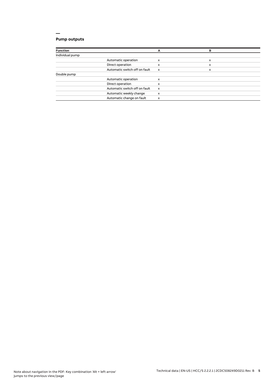# **Pump outputs**

| <b>Function</b> |                               | А                         | в |  |
|-----------------|-------------------------------|---------------------------|---|--|
| Individual pump |                               |                           |   |  |
|                 | Automatic operation           | x                         | x |  |
|                 | Direct operation              | x                         | x |  |
|                 | Automatic switch off on fault | $\boldsymbol{\mathsf{x}}$ | x |  |
| Double pump     |                               |                           |   |  |
|                 | Automatic operation           | x                         |   |  |
|                 | Direct operation              | x                         |   |  |
|                 | Automatic switch off on fault | $\boldsymbol{\mathsf{x}}$ |   |  |
|                 | Automatic weekly change       | x                         |   |  |
|                 | Automatic change on fault     | x                         |   |  |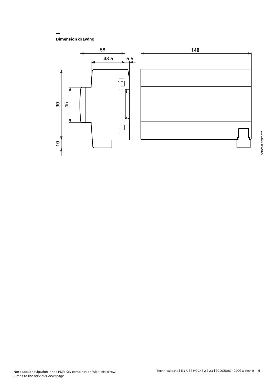**Dimension drawing**

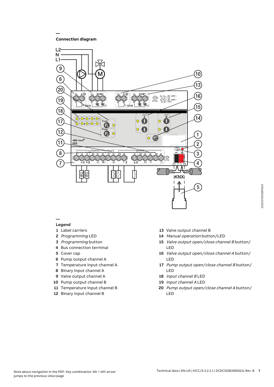**Connection diagram**

**—**



#### **— Legend**

- 
- Label carriers Programming LED
- Programming button
- Bus connection terminal
- Cover cap
- Pump output channel A
- Temperature input channel A
- Binary input channel A
- Valve output channel A
- Pump output channel B
- Temperature input channel B
- Binary input channel B
- Valve output channel B
- Manual operation button/LED
- Valve output open/close channel B button/ LED
- Valve output open/close channel A button/ LED
- Pump output open/close channel B button/ LED
- Input channel B LED
- Input channel A LED
- Pump output open/close channel A button/ LED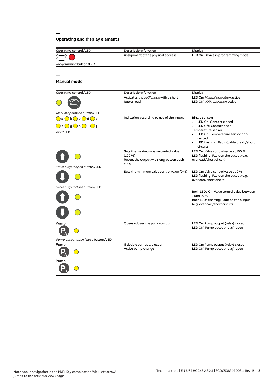# **Operating and display elements**

| <b>Operating control/LED</b>                                                                                                                      | Description/function                                                                                 | <b>Display</b>                                                                                                                                                                                    |
|---------------------------------------------------------------------------------------------------------------------------------------------------|------------------------------------------------------------------------------------------------------|---------------------------------------------------------------------------------------------------------------------------------------------------------------------------------------------------|
|                                                                                                                                                   | Assignment of the physical address                                                                   | LED On: Device in programming mode                                                                                                                                                                |
| Programming button/LED                                                                                                                            |                                                                                                      |                                                                                                                                                                                                   |
|                                                                                                                                                   |                                                                                                      |                                                                                                                                                                                                   |
|                                                                                                                                                   |                                                                                                      |                                                                                                                                                                                                   |
| <b>Manual mode</b>                                                                                                                                |                                                                                                      |                                                                                                                                                                                                   |
| <b>Operating control/LED</b>                                                                                                                      | Description/function                                                                                 | <b>Display</b>                                                                                                                                                                                    |
|                                                                                                                                                   | Activates the KNX mode with a short<br>button push                                                   | LED On: Manual operation active<br>LED Off: KNX operation active                                                                                                                                  |
| Manual operation button/LED                                                                                                                       |                                                                                                      |                                                                                                                                                                                                   |
| $\bigcirc$ a $\bigcirc$ b $\bigcirc$ c $\bigcirc$ d $\bigcirc$ e<br>$\bigcirc$ f $\bigcirc$ g $\bigcirc$ h $\bigcirc$ i $\bigcirc$ j<br>Input LED | Indication according to use of the inputs                                                            | Binary sensor:<br>• LED On: Contact closed<br>LED Off: Contact open<br>Temperature sensor:<br>• LED On: Temperature sensor con-<br>nected<br>• LED flashing: Fault (cable break/short<br>circuit) |
|                                                                                                                                                   | Sets the maximum valve control value<br>$(100\%)$<br>Resets the output with long button push<br>> 5s | LED On: Valve control value at 100 %<br>LED flashing: Fault on the output (e.g.<br>overload/short circuit)                                                                                        |
| Valve output open button/LED                                                                                                                      |                                                                                                      |                                                                                                                                                                                                   |
|                                                                                                                                                   | Sets the minimum valve control value (0 %)                                                           | LED On: Valve control value at 0 %<br>LED flashing: Fault on the output (e.g.<br>overload/short circuit)                                                                                          |
| Valve output close button/LED                                                                                                                     |                                                                                                      |                                                                                                                                                                                                   |
|                                                                                                                                                   |                                                                                                      | Both LEDs On: Valve control value between<br>1 and 99 %<br>Both LEDs flashing: Fault on the output<br>(e.g. overload/short circuit)                                                               |
| Pump                                                                                                                                              | Opens/closes the pump output                                                                         | LED On: Pump output (relay) closed<br>LED Off: Pump output (relay) open                                                                                                                           |
| Pump output open/close button/LED                                                                                                                 |                                                                                                      |                                                                                                                                                                                                   |
| Pump                                                                                                                                              | If double pumps are used:<br>Active pump change                                                      | LED On: Pump output (relay) closed<br>LED Off: Pump output (relay) open                                                                                                                           |
| Pump                                                                                                                                              |                                                                                                      |                                                                                                                                                                                                   |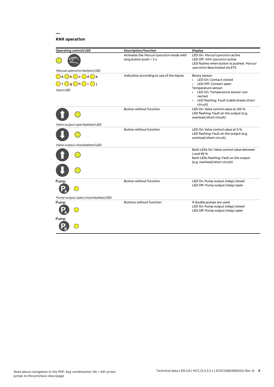# **KNX operation**

| <b>Operating control/LED</b>                        | Description/function                                               | <b>Display</b>                                                                                                                                 |
|-----------------------------------------------------|--------------------------------------------------------------------|------------------------------------------------------------------------------------------------------------------------------------------------|
| Manual operation button/LED                         | Activates the Manual operation mode with<br>long button push > 5 s | LED On: Manual operation active<br>LED Off: KNX operation active<br>LED flashes when button is pushed: Manual<br>operation deactivated via ETS |
| )b( )c( )d( )e<br>a                                 | Indication according to use of the inputs                          | Binary sensor:                                                                                                                                 |
| $\bigcirc$ g $\bigcirc$ h $\bigcirc$ i $\bigcirc$ j |                                                                    | LED On: Contact closed<br>LED Off: Contact open                                                                                                |
|                                                     |                                                                    | Temperature sensor:                                                                                                                            |
| Input LED                                           |                                                                    | LED On: Temperature sensor con-                                                                                                                |
|                                                     |                                                                    | nected                                                                                                                                         |
|                                                     |                                                                    | • LED flashing: Fault (cable break/short<br>circuit)                                                                                           |
|                                                     | <b>Button without function</b>                                     | LED On: Valve control value at 100 %<br>LED flashing: Fault on the output (e.g.<br>overload/short circuit)                                     |
| Valve output open button/LED                        |                                                                    |                                                                                                                                                |
|                                                     | <b>Button without function</b>                                     | LED On: Valve control value at 0 %<br>LED flashing: Fault on the output (e.g.<br>overload/short circuit)                                       |
| Valve output close button/LED                       |                                                                    |                                                                                                                                                |
|                                                     |                                                                    | Both LEDs On: Valve control value between<br>1 and 99 %<br>Both LEDs flashing: Fault on the output<br>(e.g. overload/short circuit)            |
|                                                     |                                                                    |                                                                                                                                                |
| Pump                                                | <b>Button without function</b>                                     | LED On: Pump output (relay) closed<br>LED Off: Pump output (relay) open                                                                        |
|                                                     |                                                                    |                                                                                                                                                |
| Pump output open/close button/LED                   |                                                                    |                                                                                                                                                |
| Pump                                                | <b>Buttons without function</b>                                    | If double pumps are used:<br>LED On: Pump output (relay) closed<br>LED Off: Pump output (relay) open                                           |
| Pump                                                |                                                                    |                                                                                                                                                |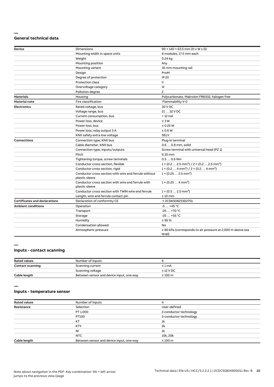#### **— General technical data**

| Device                               | Dimensions                                                              | $90 \times 140 \times 63.5$ mm (H x W x D)                                        |
|--------------------------------------|-------------------------------------------------------------------------|-----------------------------------------------------------------------------------|
|                                      | Mounting width in space units                                           | 8 modules, 17.5 mm each                                                           |
|                                      | Weight                                                                  | 0.24 kg                                                                           |
|                                      | Mounting position                                                       | Any                                                                               |
|                                      | Mounting variant                                                        | 35 mm mounting rail                                                               |
|                                      | Design                                                                  | ProM                                                                              |
|                                      | Degree of protection                                                    | <b>IP 20</b>                                                                      |
|                                      | <b>Protection class</b>                                                 | Ш                                                                                 |
|                                      | Overvoltage category                                                    | III                                                                               |
|                                      | Pollution degree                                                        | $\overline{c}$                                                                    |
| <b>Materials</b>                     | Housing                                                                 | Polycarbonate, Makrolon FR6002, halogen free                                      |
| <b>Material note</b>                 | Fire classification                                                     | Flammability V-0                                                                  |
| <b>Electronics</b>                   | Rated voltage, bus                                                      | 30 V DC                                                                           |
|                                      | Voltage range, bus                                                      | 21  32 V DC                                                                       |
|                                      | Current consumption, bus                                                | $< 12 \text{ mA}$                                                                 |
|                                      | Power loss, device                                                      | $\leq 3 W$                                                                        |
|                                      | Power loss, bus                                                         | $\leq$ 0.25 W                                                                     |
|                                      | Power loss, relay output 5 A                                            | $\leq 0.6 W$                                                                      |
|                                      | KNX safety extra low voltage                                            | <b>SELV</b>                                                                       |
| <b>Connections</b>                   | Connection type, KNX bus                                                | Plug-in terminal                                                                  |
|                                      | Cable diameter, KNX bus                                                 | 0.6  0.8 mm, solid                                                                |
|                                      | Connection type, inputs/outputs                                         | Screw terminal with universal head (PZ 1)                                         |
|                                      | Pitch                                                                   | 6.35 mm                                                                           |
|                                      | Tightening torque, screw terminals                                      | $0.50.6$ Nm                                                                       |
|                                      | Conductor cross-section, flexible                                       | $1 \times (0.2 \ldots 2.5 \text{ mm}^2) / 2 \times (0.2 \ldots 2.5 \text{ mm}^2)$ |
|                                      | Conductor cross section, rigid                                          | $1 \times (0.2 \ldots 4 \text{ mm}^2) / 2 \times (0.2 \ldots 4 \text{ mm}^2)$     |
|                                      | Conductor cross section with wire end ferrule without<br>plastic sleeve | $1 \times (0.252.5 \text{ mm}^2)$                                                 |
|                                      | Conductor cross section with wire end ferrule with<br>plastic sleeve    | $1 \times (0.254 \text{ mm}^2)$                                                   |
|                                      | Conductor cross section with TWIN wire end ferrule                      | $1 \times (0.52.5)$ mm <sup>2</sup> )                                             |
|                                      | Length, wire end ferrule contact pin                                    | $\geq 10$ mm                                                                      |
| <b>Certificates and declarations</b> | Declaration of conformity CE                                            | → 2CDK508233D2701                                                                 |
| <b>Ambient conditions</b>            | Operation                                                               | $-5+45$ °C                                                                        |
|                                      | Transport                                                               | $-25+70 °C$                                                                       |
|                                      | Storage                                                                 | $-25+55$ °C                                                                       |
|                                      | Humidity                                                                | $\leq$ 95 %                                                                       |
|                                      | Condensation allowed                                                    | No                                                                                |
|                                      | Atmospheric pressure                                                    | $\geq$ 80 kPa (corresponds to air pressure at 2,000 m above sea<br>level)         |

#### **—**

# **Inputs - contact scanning**

| <b>Rated values</b>     | Number of inputs                         |                |
|-------------------------|------------------------------------------|----------------|
| <b>Contact scanning</b> | Scanning current                         | $\leq 1$ mA    |
|                         | Scanning voltage                         | $\leq$ 12 V DC |
| Cable length            | Between sensor and device input, one-way | $\leq 100$ m   |

**—**

## **Inputs - temperature sensor**

| <b>Rated values</b> | Number of inputs                         |                        |
|---------------------|------------------------------------------|------------------------|
| Resistance          | Selection                                | User-defined           |
|                     | PT 1.000                                 | 2-conductor technology |
|                     | PT100                                    | 2-conductor technology |
|                     | KT                                       | 1k                     |
|                     | <b>KTY</b>                               | 2k                     |
|                     | <b>NI</b>                                | 1k                     |
|                     | NTC                                      | 10k, 20k               |
| Cable length        | Between sensor and device input, one-way | $\leq 100$ m           |
|                     |                                          |                        |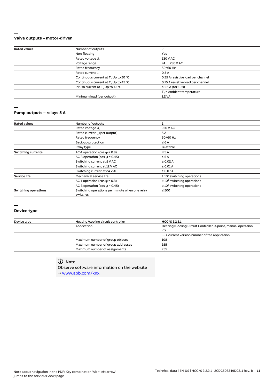#### **— Valve outputs – motor-driven**

| <b>Rated values</b> | Number of outputs                                |                                    |  |
|---------------------|--------------------------------------------------|------------------------------------|--|
|                     |                                                  |                                    |  |
|                     | Non-floating                                     | Yes                                |  |
|                     | Rated voltage U <sub>n</sub>                     | 230 V AC                           |  |
|                     | Voltage range                                    | 24  230 V AC                       |  |
|                     | Rated frequency                                  | 50/60 Hz                           |  |
|                     | Rated current I <sub>n</sub>                     | 0.5A                               |  |
|                     | Continuous current at T. Up to 20 °C             | 0.25 A resistive load per channel  |  |
|                     | Continuous current at T <sub>u</sub> Up to 45 °C | 0.15 A resistive load per channel  |  |
|                     | Inrush current at T <sub>u</sub> Up to 45 °C     | $\leq$ 1.6 A (for 10 s)            |  |
|                     |                                                  | $T_{\alpha}$ = Ambient temperature |  |
|                     | Minimum load (per output)                        | 1.2 VA                             |  |
|                     |                                                  |                                    |  |

#### **—**

#### **Pump outputs – relays 5 A**

| <b>Rated values</b>         | Number of outputs                                          | 2                                |  |
|-----------------------------|------------------------------------------------------------|----------------------------------|--|
|                             | Rated voltage U <sub>n</sub>                               | 250 V AC                         |  |
|                             | Rated current I <sub>n</sub> (per output)                  | 5A                               |  |
|                             | Rated frequency                                            | 50/60 Hz                         |  |
|                             | Back-up protection                                         | $\leq 6A$                        |  |
|                             | Relay type                                                 | Bi-stable                        |  |
| <b>Switching currents</b>   | AC-1 operation (cos $\varphi$ = 0.8)                       | $\leq$ 5 A                       |  |
|                             | AC-3 operation (cos $\varphi$ = 0.45)                      | $\leq$ 5 A                       |  |
|                             | Switching current at 5 V AC                                | $\geq$ 0.02 A                    |  |
|                             | Switching current at 12 V AC                               | $\geq 0.01$ A                    |  |
|                             | Switching current at 24 V AC                               | $\geq 0.07$ A                    |  |
| <b>Service life</b>         | Mechanical service life                                    | $\geq 10^7$ switching operations |  |
|                             | AC-1 operation (cos $\varphi$ = 0.8)                       | $\geq 10^6$ switching operations |  |
|                             | AC-3 operation (cos $\varphi$ = 0.45)                      | $\geq 10^6$ switching operations |  |
| <b>Switching operations</b> | Switching operations per minute when one relay<br>switches | $\leq 500$                       |  |
|                             |                                                            |                                  |  |

#### **—**

#### **Device type**

| Device type | Heating/cooling circuit controller | HCC/S 2.2.2.1                                                           |  |
|-------------|------------------------------------|-------------------------------------------------------------------------|--|
|             | Application                        | Heating/Cooling Circuit Controller, 3-point, manual operation,<br>$2f/$ |  |
|             |                                    |                                                                         |  |
|             |                                    | $\ldots$ = current version number of the application                    |  |
|             | Maximum number of group objects    | 108                                                                     |  |
|             | Maximum number of group addresses  | 255                                                                     |  |
|             | Maximum number of assignments      | 255                                                                     |  |
|             |                                    |                                                                         |  |

# **Note**

Observe software information on the website → www.abb.com/knx.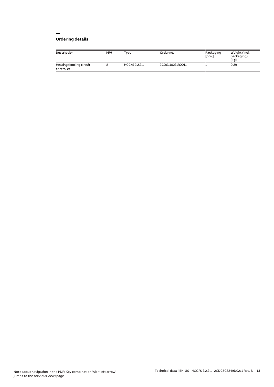# **Ordering details**

| Description                           | MW | <b>Type</b>   | Order no.       | Packaging<br>[pcs.] | Weight (incl.<br>packaging)<br>[kg] |
|---------------------------------------|----|---------------|-----------------|---------------------|-------------------------------------|
| Heating/cooling circuit<br>controller |    | HCC/S 2.2.2.1 | 2CDG110221R0011 |                     | 0.29                                |